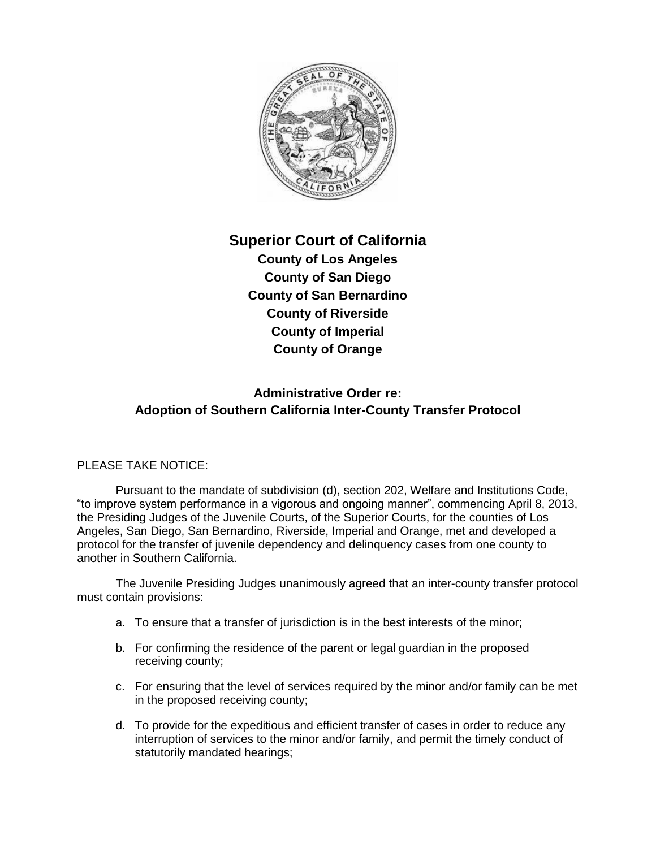

## **Superior Court of California**

**County of Los Angeles County of San Diego County of San Bernardino County of Riverside County of Imperial County of Orange**

## **Administrative Order re: Adoption of Southern California Inter-County Transfer Protocol**

## PLEASE TAKE NOTICE:

Pursuant to the mandate of subdivision (d), section 202, Welfare and Institutions Code, "to improve system performance in a vigorous and ongoing manner", commencing April 8, 2013, the Presiding Judges of the Juvenile Courts, of the Superior Courts, for the counties of Los Angeles, San Diego, San Bernardino, Riverside, Imperial and Orange, met and developed a protocol for the transfer of juvenile dependency and delinquency cases from one county to another in Southern California.

The Juvenile Presiding Judges unanimously agreed that an inter-county transfer protocol must contain provisions:

- a. To ensure that a transfer of jurisdiction is in the best interests of the minor;
- b. For confirming the residence of the parent or legal guardian in the proposed receiving county;
- c. For ensuring that the level of services required by the minor and/or family can be met in the proposed receiving county;
- d. To provide for the expeditious and efficient transfer of cases in order to reduce any interruption of services to the minor and/or family, and permit the timely conduct of statutorily mandated hearings;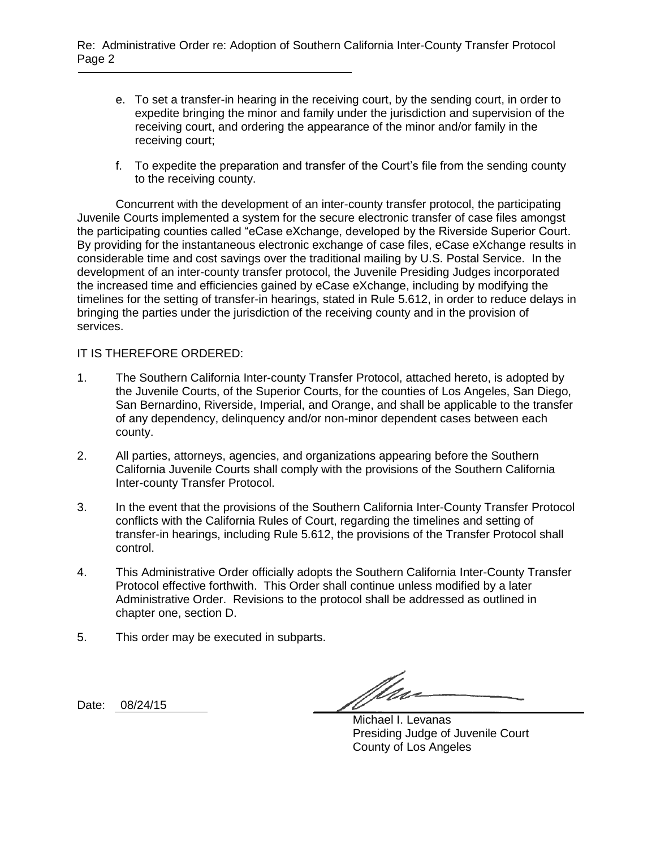- e. To set a transfer-in hearing in the receiving court, by the sending court, in order to expedite bringing the minor and family under the jurisdiction and supervision of the receiving court, and ordering the appearance of the minor and/or family in the receiving court;
- f. To expedite the preparation and transfer of the Court's file from the sending county to the receiving county.

Concurrent with the development of an inter-county transfer protocol, the participating Juvenile Courts implemented a system for the secure electronic transfer of case files amongst the participating counties called "eCase eXchange, developed by the Riverside Superior Court. By providing for the instantaneous electronic exchange of case files, eCase eXchange results in considerable time and cost savings over the traditional mailing by U.S. Postal Service. In the development of an inter-county transfer protocol, the Juvenile Presiding Judges incorporated the increased time and efficiencies gained by eCase eXchange, including by modifying the timelines for the setting of transfer-in hearings, stated in Rule 5.612, in order to reduce delays in bringing the parties under the jurisdiction of the receiving county and in the provision of services.

## IT IS THEREFORE ORDERED:

- 1. The Southern California Inter-county Transfer Protocol, attached hereto, is adopted by the Juvenile Courts, of the Superior Courts, for the counties of Los Angeles, San Diego, San Bernardino, Riverside, Imperial, and Orange, and shall be applicable to the transfer of any dependency, delinquency and/or non-minor dependent cases between each county.
- 2. All parties, attorneys, agencies, and organizations appearing before the Southern California Juvenile Courts shall comply with the provisions of the Southern California Inter-county Transfer Protocol.
- 3. In the event that the provisions of the Southern California Inter-County Transfer Protocol conflicts with the California Rules of Court, regarding the timelines and setting of transfer-in hearings, including Rule 5.612, the provisions of the Transfer Protocol shall control.
- 4. This Administrative Order officially adopts the Southern California Inter-County Transfer Protocol effective forthwith. This Order shall continue unless modified by a later Administrative Order. Revisions to the protocol shall be addressed as outlined in chapter one, section D.
- 5. This order may be executed in subparts.

Date: 08/24/15

*ffu* 

Michael I. Levanas Presiding Judge of Juvenile Court County of Los Angeles